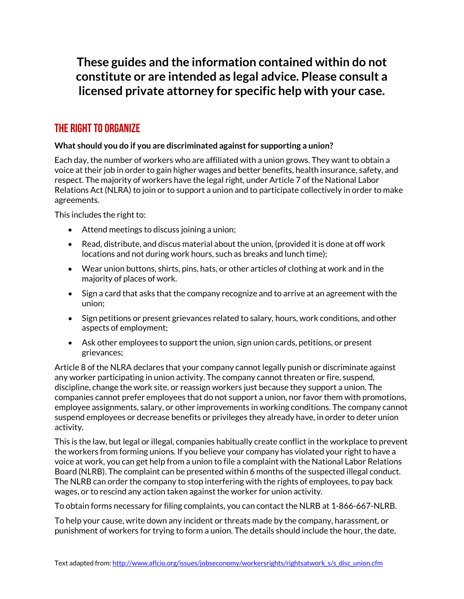**These guides and the information contained within do not constitute or are intended as legal advice. Please consult a licensed private attorney for specific help with your case.**

## The Right to Organize

## **What should you do if you are discriminated against for supporting a union?**

Each day, the number of workers who are affiliated with a union grows. They want to obtain a voice at their job in order to gain higher wages and better benefits, health insurance, safety, and respect. The majority of workers have the legal right, under Article 7 of the National Labor Relations Act (NLRA) to join or to support a union and to participate collectively in order to make agreements.

This includes the right to:

- Attend meetings to discuss joining a union;
- Read, distribute, and discus material about the union, (provided it is done at off work locations and not during work hours, such as breaks and lunch time);
- Wear union buttons, shirts, pins, hats, or other articles of clothing at work and in the majority of places of work.
- Sign a card that asks that the company recognize and to arrive at an agreement with the union;
- Sign petitions or present grievances related to salary, hours, work conditions, and other aspects of employment;
- Ask other employees to support the union, sign union cards, petitions, or present grievances;

Article 8 of the NLRA declares that your company cannot legally punish or discriminate against any worker participating in union activity. The company cannot threaten or fire, suspend, discipline, change the work site, or reassign workers just because they support a union. The companies cannot prefer employees that do not support a union, nor favor them with promotions, employee assignments, salary, or other improvements in working conditions. The company cannot suspend employees or decrease benefits or privileges they already have, in order to deter union activity.

This is the law, but legal or illegal, companies habitually create conflict in the workplace to prevent the workers from forming unions. If you believe your company has violated your right to have a voice at work, you can get help from a union to file a complaint with the National Labor Relations Board (NLRB). The complaint can be presented within 6 months of the suspected illegal conduct. The NLRB can order the company to stop interfering with the rights of employees, to pay back wages, or to rescind any action taken against the worker for union activity.

To obtain forms necessary for filing complaints, you can contact the NLRB at 1-866-667-NLRB.

To help your cause, write down any incident or threats made by the company, harassment, or punishment of workers for trying to form a union. The details should include the hour, the date,